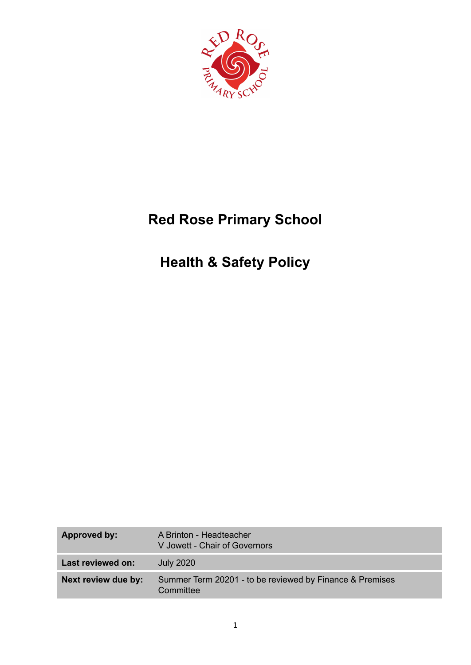

# **Red Rose Primary School**

# **Health & Safety Policy**

| <b>Approved by:</b> | A Brinton - Headteacher<br>V Jowett - Chair of Governors              |
|---------------------|-----------------------------------------------------------------------|
| Last reviewed on:   | <b>July 2020</b>                                                      |
| Next review due by: | Summer Term 20201 - to be reviewed by Finance & Premises<br>Committee |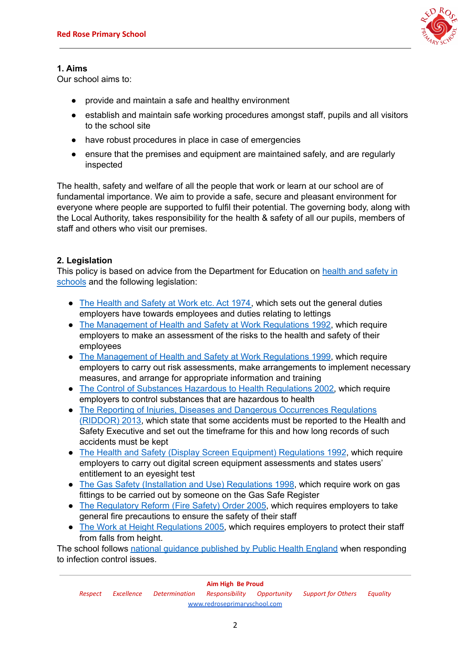

# **1. Aims**

Our school aims to:

- provide and maintain a safe and healthy environment
- establish and maintain safe working procedures amongst staff, pupils and all visitors to the school site
- have robust procedures in place in case of emergencies
- ensure that the premises and equipment are maintained safely, and are regularly inspected

The health, safety and welfare of all the people that work or learn at our school are of fundamental importance. We aim to provide a safe, secure and pleasant environment for everyone where people are supported to fulfil their potential. The governing body, along with the Local Authority, takes responsibility for the health & safety of all our pupils, members of staff and others who visit our premises.

# **2. Legislation**

This policy is based on advice from the Department for Education on [health](https://www.gov.uk/government/publications/health-and-safety-advice-for-schools) and safety in [schools](https://www.gov.uk/government/publications/health-and-safety-advice-for-schools) and the following legislation:

- The [Health](http://www.legislation.gov.uk/ukpga/1974/37) and Safety at Work etc. Act 1974, which sets out the general duties employers have towards employees and duties relating to lettings
- The [Management](http://www.legislation.gov.uk/uksi/1992/2051/regulation/3/made) of Health and Safety at Work Regulations 1992, which require employers to make an assessment of the risks to the health and safety of their employees
- The [Management](http://www.legislation.gov.uk/uksi/1999/3242/contents/made) of Health and Safety at Work Regulations 1999, which require employers to carry out risk assessments, make arrangements to implement necessary measures, and arrange for appropriate information and training
- The Control of Substances Hazardous to Health [Regulations](http://www.legislation.gov.uk/uksi/2002/2677/contents/made) 2002, which require employers to control substances that are hazardous to health
- The Reporting of Injuries, Diseases and Dangerous [Occurrences](http://www.legislation.gov.uk/uksi/2013/1471/schedule/1/paragraph/1/made) Regulations [\(RIDDOR\)](http://www.legislation.gov.uk/uksi/2013/1471/schedule/1/paragraph/1/made) 2013, which state that some accidents must be reported to the Health and Safety Executive and set out the timeframe for this and how long records of such accidents must be kept
- The Health and Safety (Display Screen Equipment) [Regulations](http://www.legislation.gov.uk/uksi/1992/2792/contents/made) 1992, which require employers to carry out digital screen equipment assessments and states users' entitlement to an eyesight test
- The Gas Safety (Installation and Use) [Regulations](http://www.legislation.gov.uk/uksi/1998/2451/regulation/4/made) 1998, which require work on gas fittings to be carried out by someone on the Gas Safe Register
- The [Regulatory](http://www.legislation.gov.uk/uksi/2005/1541/part/2/made) Reform (Fire Safety) Order 2005, which requires employers to take general fire precautions to ensure the safety of their staff
- The Work at Height [Regulations](http://www.legislation.gov.uk/uksi/2005/735/contents/made) 2005, which requires employers to protect their staff from falls from height.

The school follows national guidance [published](https://www.gov.uk/government/uploads/system/uploads/attachment_data/file/522337/Guidance_on_infection_control_in_schools.pdf) by Public Health England when responding to infection control issues.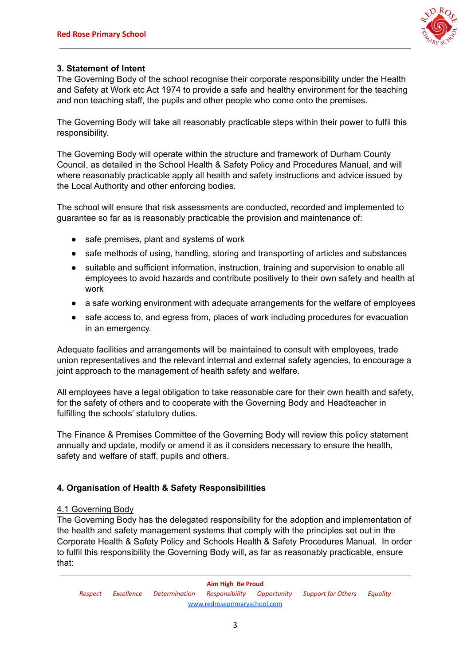

## **3. Statement of Intent**

The Governing Body of the school recognise their corporate responsibility under the Health and Safety at Work etc Act 1974 to provide a safe and healthy environment for the teaching and non teaching staff, the pupils and other people who come onto the premises.

The Governing Body will take all reasonably practicable steps within their power to fulfil this responsibility.

The Governing Body will operate within the structure and framework of Durham County Council, as detailed in the School Health & Safety Policy and Procedures Manual, and will where reasonably practicable apply all health and safety instructions and advice issued by the Local Authority and other enforcing bodies.

The school will ensure that risk assessments are conducted, recorded and implemented to guarantee so far as is reasonably practicable the provision and maintenance of:

- safe premises, plant and systems of work
- safe methods of using, handling, storing and transporting of articles and substances
- suitable and sufficient information, instruction, training and supervision to enable all employees to avoid hazards and contribute positively to their own safety and health at work
- a safe working environment with adequate arrangements for the welfare of employees
- safe access to, and egress from, places of work including procedures for evacuation in an emergency.

Adequate facilities and arrangements will be maintained to consult with employees, trade union representatives and the relevant internal and external safety agencies, to encourage a joint approach to the management of health safety and welfare.

All employees have a legal obligation to take reasonable care for their own health and safety, for the safety of others and to cooperate with the Governing Body and Headteacher in fulfilling the schools' statutory duties.

The Finance & Premises Committee of the Governing Body will review this policy statement annually and update, modify or amend it as it considers necessary to ensure the health, safety and welfare of staff, pupils and others.

# **4. Organisation of Health & Safety Responsibilities**

#### 4.1 Governing Body

The Governing Body has the delegated responsibility for the adoption and implementation of the health and safety management systems that comply with the principles set out in the Corporate Health & Safety Policy and Schools Health & Safety Procedures Manual. In order to fulfil this responsibility the Governing Body will, as far as reasonably practicable, ensure that: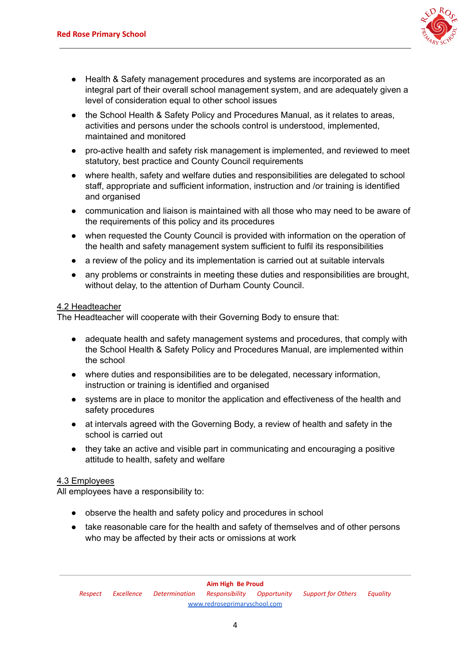

- Health & Safety management procedures and systems are incorporated as an integral part of their overall school management system, and are adequately given a level of consideration equal to other school issues
- the School Health & Safety Policy and Procedures Manual, as it relates to areas, activities and persons under the schools control is understood, implemented, maintained and monitored
- pro-active health and safety risk management is implemented, and reviewed to meet statutory, best practice and County Council requirements
- where health, safety and welfare duties and responsibilities are delegated to school staff, appropriate and sufficient information, instruction and /or training is identified and organised
- communication and liaison is maintained with all those who may need to be aware of the requirements of this policy and its procedures
- when requested the County Council is provided with information on the operation of the health and safety management system sufficient to fulfil its responsibilities
- a review of the policy and its implementation is carried out at suitable intervals
- any problems or constraints in meeting these duties and responsibilities are brought, without delay, to the attention of Durham County Council.

#### 4.2 Headteacher

The Headteacher will cooperate with their Governing Body to ensure that:

- adequate health and safety management systems and procedures, that comply with the School Health & Safety Policy and Procedures Manual, are implemented within the school
- where duties and responsibilities are to be delegated, necessary information, instruction or training is identified and organised
- systems are in place to monitor the application and effectiveness of the health and safety procedures
- at intervals agreed with the Governing Body, a review of health and safety in the school is carried out
- they take an active and visible part in communicating and encouraging a positive attitude to health, safety and welfare

#### 4.3 Employees

All employees have a responsibility to:

- observe the health and safety policy and procedures in school
- take reasonable care for the health and safety of themselves and of other persons who may be affected by their acts or omissions at work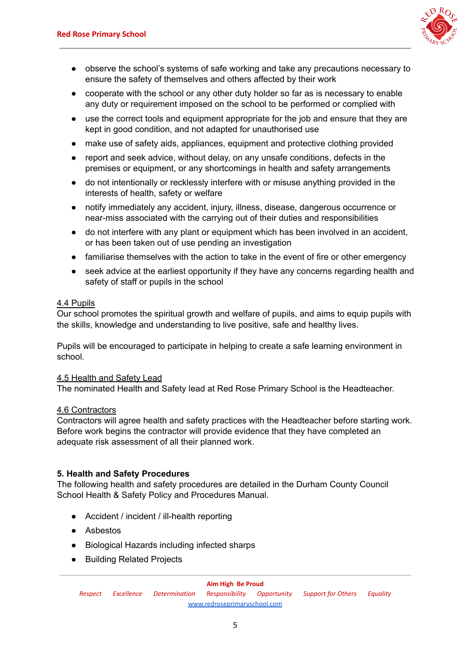

- observe the school's systems of safe working and take any precautions necessary to ensure the safety of themselves and others affected by their work
- cooperate with the school or any other duty holder so far as is necessary to enable any duty or requirement imposed on the school to be performed or complied with
- use the correct tools and equipment appropriate for the job and ensure that they are kept in good condition, and not adapted for unauthorised use
- make use of safety aids, appliances, equipment and protective clothing provided
- report and seek advice, without delay, on any unsafe conditions, defects in the premises or equipment, or any shortcomings in health and safety arrangements
- do not intentionally or recklessly interfere with or misuse anything provided in the interests of health, safety or welfare
- notify immediately any accident, injury, illness, disease, dangerous occurrence or near-miss associated with the carrying out of their duties and responsibilities
- do not interfere with any plant or equipment which has been involved in an accident, or has been taken out of use pending an investigation
- familiarise themselves with the action to take in the event of fire or other emergency
- seek advice at the earliest opportunity if they have any concerns regarding health and safety of staff or pupils in the school

#### 4.4 Pupils

Our school promotes the spiritual growth and welfare of pupils, and aims to equip pupils with the skills, knowledge and understanding to live positive, safe and healthy lives.

Pupils will be encouraged to participate in helping to create a safe learning environment in school.

#### 4.5 Health and Safety Lead

The nominated Health and Safety lead at Red Rose Primary School is the Headteacher.

#### 4.6 Contractors

Contractors will agree health and safety practices with the Headteacher before starting work. Before work begins the contractor will provide evidence that they have completed an adequate risk assessment of all their planned work.

#### **5. Health and Safety Procedures**

The following health and safety procedures are detailed in the Durham County Council School Health & Safety Policy and Procedures Manual.

- Accident / incident / ill-health reporting
- Asbestos
- Biological Hazards including infected sharps
- Building Related Projects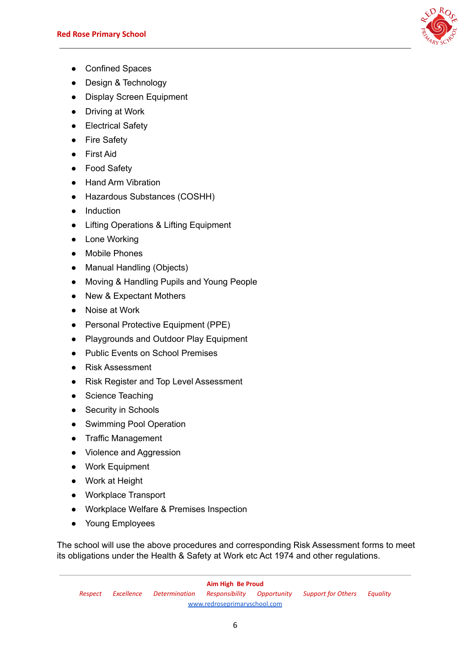

- Confined Spaces
- Design & Technology
- Display Screen Equipment
- Driving at Work
- Electrical Safety
- Fire Safety
- First Aid
- Food Safety
- Hand Arm Vibration
- Hazardous Substances (COSHH)
- Induction
- Lifting Operations & Lifting Equipment
- Lone Working
- Mobile Phones
- Manual Handling (Objects)
- Moving & Handling Pupils and Young People
- New & Expectant Mothers
- Noise at Work
- Personal Protective Equipment (PPE)
- Playgrounds and Outdoor Play Equipment
- Public Events on School Premises
- Risk Assessment
- Risk Register and Top Level Assessment
- Science Teaching
- Security in Schools
- Swimming Pool Operation
- Traffic Management
- Violence and Aggression
- Work Equipment
- Work at Height
- Workplace Transport
- Workplace Welfare & Premises Inspection
- Young Employees

The school will use the above procedures and corresponding Risk Assessment forms to meet its obligations under the Health & Safety at Work etc Act 1974 and other regulations.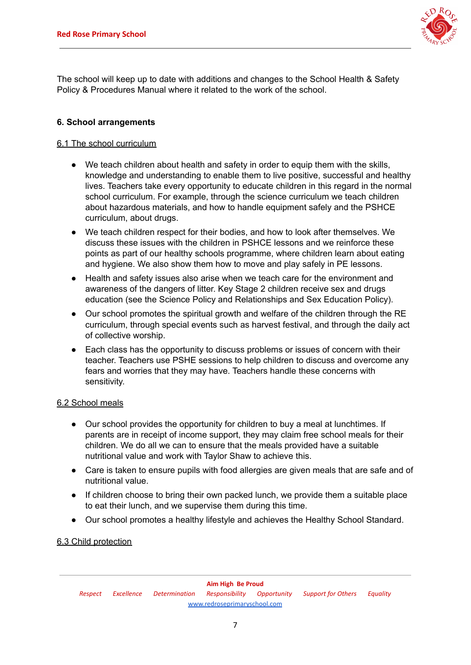

The school will keep up to date with additions and changes to the School Health & Safety Policy & Procedures Manual where it related to the work of the school.

### **6. School arrangements**

### 6.1 The school curriculum

- We teach children about health and safety in order to equip them with the skills, knowledge and understanding to enable them to live positive, successful and healthy lives. Teachers take every opportunity to educate children in this regard in the normal school curriculum. For example, through the science curriculum we teach children about hazardous materials, and how to handle equipment safely and the PSHCE curriculum, about drugs.
- We teach children respect for their bodies, and how to look after themselves. We discuss these issues with the children in PSHCE lessons and we reinforce these points as part of our healthy schools programme, where children learn about eating and hygiene. We also show them how to move and play safely in PE lessons.
- Health and safety issues also arise when we teach care for the environment and awareness of the dangers of litter. Key Stage 2 children receive sex and drugs education (see the Science Policy and Relationships and Sex Education Policy).
- Our school promotes the spiritual growth and welfare of the children through the RE curriculum, through special events such as harvest festival, and through the daily act of collective worship.
- Each class has the opportunity to discuss problems or issues of concern with their teacher. Teachers use PSHE sessions to help children to discuss and overcome any fears and worries that they may have. Teachers handle these concerns with sensitivity.

#### 6.2 School meals

- Our school provides the opportunity for children to buy a meal at lunchtimes. If parents are in receipt of income support, they may claim free school meals for their children. We do all we can to ensure that the meals provided have a suitable nutritional value and work with Taylor Shaw to achieve this.
- Care is taken to ensure pupils with food allergies are given meals that are safe and of nutritional value.
- If children choose to bring their own packed lunch, we provide them a suitable place to eat their lunch, and we supervise them during this time.
- Our school promotes a healthy lifestyle and achieves the Healthy School Standard.

#### 6.3 Child protection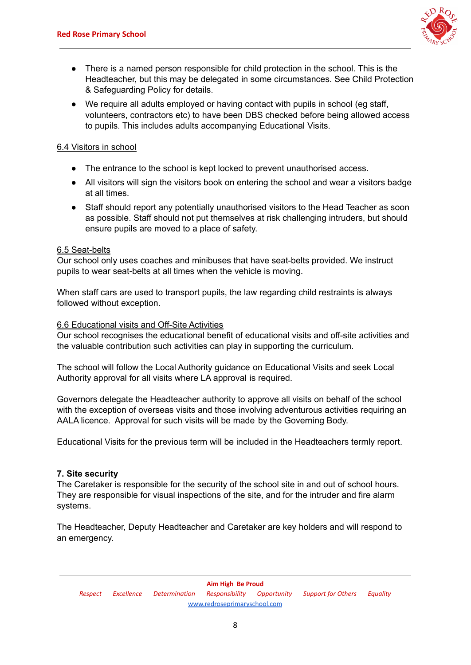

- There is a named person responsible for child protection in the school. This is the Headteacher, but this may be delegated in some circumstances. See Child Protection & Safeguarding Policy for details.
- We require all adults employed or having contact with pupils in school (eg staff, volunteers, contractors etc) to have been DBS checked before being allowed access to pupils. This includes adults accompanying Educational Visits.

#### 6.4 Visitors in school

- The entrance to the school is kept locked to prevent unauthorised access.
- All visitors will sign the visitors book on entering the school and wear a visitors badge at all times.
- Staff should report any potentially unauthorised visitors to the Head Teacher as soon as possible. Staff should not put themselves at risk challenging intruders, but should ensure pupils are moved to a place of safety.

#### 6.5 Seat-belts

Our school only uses coaches and minibuses that have seat-belts provided. We instruct pupils to wear seat-belts at all times when the vehicle is moving.

When staff cars are used to transport pupils, the law regarding child restraints is always followed without exception.

#### 6.6 Educational visits and Off-Site Activities

Our school recognises the educational benefit of educational visits and off-site activities and the valuable contribution such activities can play in supporting the curriculum.

The school will follow the Local Authority guidance on Educational Visits and seek Local Authority approval for all visits where LA approval is required.

Governors delegate the Headteacher authority to approve all visits on behalf of the school with the exception of overseas visits and those involving adventurous activities requiring an AALA licence. Approval for such visits will be made by the Governing Body.

Educational Visits for the previous term will be included in the Headteachers termly report.

#### **7. Site security**

The Caretaker is responsible for the security of the school site in and out of school hours. They are responsible for visual inspections of the site, and for the intruder and fire alarm systems.

The Headteacher, Deputy Headteacher and Caretaker are key holders and will respond to an emergency.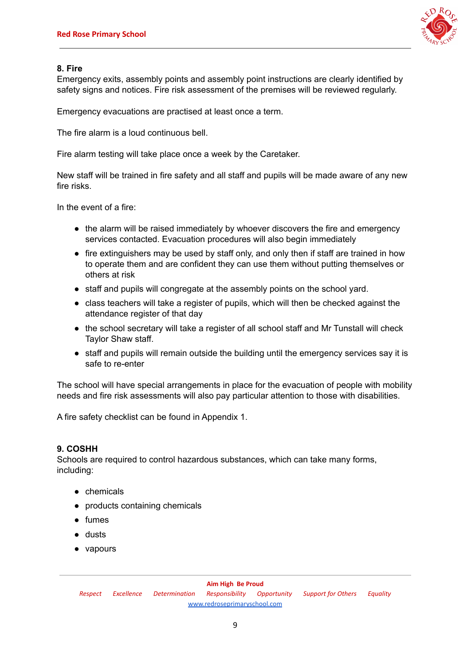

### **8. Fire**

Emergency exits, assembly points and assembly point instructions are clearly identified by safety signs and notices. Fire risk assessment of the premises will be reviewed regularly.

Emergency evacuations are practised at least once a term.

The fire alarm is a loud continuous bell.

Fire alarm testing will take place once a week by the Caretaker.

New staff will be trained in fire safety and all staff and pupils will be made aware of any new fire risks.

In the event of a fire:

- the alarm will be raised immediately by whoever discovers the fire and emergency services contacted. Evacuation procedures will also begin immediately
- fire extinguishers may be used by staff only, and only then if staff are trained in how to operate them and are confident they can use them without putting themselves or others at risk
- staff and pupils will congregate at the assembly points on the school yard.
- class teachers will take a register of pupils, which will then be checked against the attendance register of that day
- the school secretary will take a register of all school staff and Mr Tunstall will check Taylor Shaw staff.
- staff and pupils will remain outside the building until the emergency services say it is safe to re-enter

The school will have special arrangements in place for the evacuation of people with mobility needs and fire risk assessments will also pay particular attention to those with disabilities.

A fire safety checklist can be found in Appendix 1.

# **9. COSHH**

Schools are required to control hazardous substances, which can take many forms, including:

- chemicals
- products containing chemicals
- fumes
- dusts
- vapours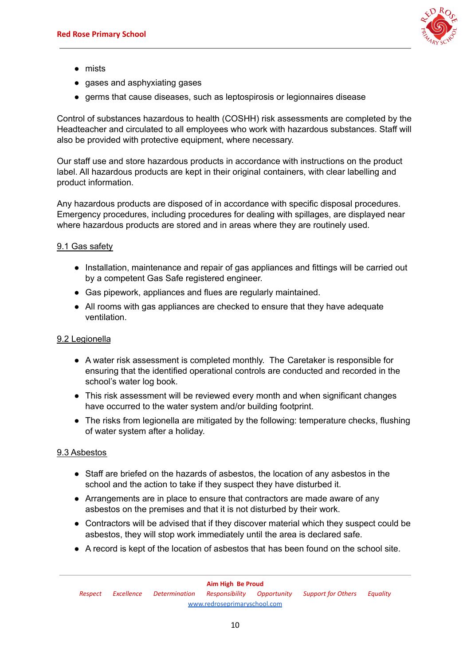

- mists
- gases and asphyxiating gases
- germs that cause diseases, such as leptospirosis or legionnaires disease

Control of substances hazardous to health (COSHH) risk assessments are completed by the Headteacher and circulated to all employees who work with hazardous substances. Staff will also be provided with protective equipment, where necessary.

Our staff use and store hazardous products in accordance with instructions on the product label. All hazardous products are kept in their original containers, with clear labelling and product information.

Any hazardous products are disposed of in accordance with specific disposal procedures. Emergency procedures, including procedures for dealing with spillages, are displayed near where hazardous products are stored and in areas where they are routinely used.

## 9.1 Gas safety

- Installation, maintenance and repair of gas appliances and fittings will be carried out by a competent Gas Safe registered engineer.
- Gas pipework, appliances and flues are regularly maintained.
- All rooms with gas appliances are checked to ensure that they have adequate ventilation.

#### 9.2 Legionella

- A water risk assessment is completed monthly. The Caretaker is responsible for ensuring that the identified operational controls are conducted and recorded in the school's water log book.
- This risk assessment will be reviewed every month and when significant changes have occurred to the water system and/or building footprint.
- The risks from legionella are mitigated by the following: temperature checks, flushing of water system after a holiday.

#### 9.3 Asbestos

- Staff are briefed on the hazards of asbestos, the location of any asbestos in the school and the action to take if they suspect they have disturbed it.
- Arrangements are in place to ensure that contractors are made aware of any asbestos on the premises and that it is not disturbed by their work.
- Contractors will be advised that if they discover material which they suspect could be asbestos, they will stop work immediately until the area is declared safe.
- A record is kept of the location of asbestos that has been found on the school site.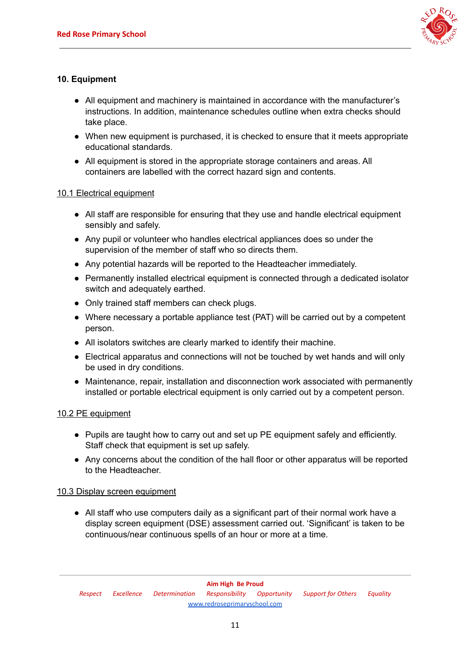

# **10. Equipment**

- All equipment and machinery is maintained in accordance with the manufacturer's instructions. In addition, maintenance schedules outline when extra checks should take place.
- When new equipment is purchased, it is checked to ensure that it meets appropriate educational standards.
- All equipment is stored in the appropriate storage containers and areas. All containers are labelled with the correct hazard sign and contents.

#### 10.1 Electrical equipment

- All staff are responsible for ensuring that they use and handle electrical equipment sensibly and safely.
- Any pupil or volunteer who handles electrical appliances does so under the supervision of the member of staff who so directs them.
- Any potential hazards will be reported to the Headteacher immediately.
- Permanently installed electrical equipment is connected through a dedicated isolator switch and adequately earthed.
- Only trained staff members can check plugs.
- Where necessary a portable appliance test (PAT) will be carried out by a competent person.
- All isolators switches are clearly marked to identify their machine.
- Electrical apparatus and connections will not be touched by wet hands and will only be used in dry conditions.
- Maintenance, repair, installation and disconnection work associated with permanently installed or portable electrical equipment is only carried out by a competent person.

### 10.2 PE equipment

- Pupils are taught how to carry out and set up PE equipment safely and efficiently. Staff check that equipment is set up safely.
- Any concerns about the condition of the hall floor or other apparatus will be reported to the Headteacher.

#### 10.3 Display screen equipment

● All staff who use computers daily as a significant part of their normal work have a display screen equipment (DSE) assessment carried out. 'Significant' is taken to be continuous/near continuous spells of an hour or more at a time.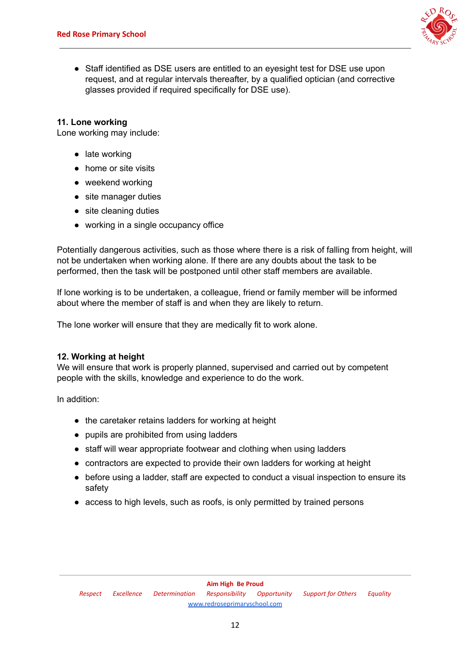

● Staff identified as DSE users are entitled to an eyesight test for DSE use upon request, and at regular intervals thereafter, by a qualified optician (and corrective glasses provided if required specifically for DSE use).

### **11. Lone working**

Lone working may include:

- late working
- home or site visits
- weekend working
- site manager duties
- site cleaning duties
- **●** working in a single occupancy office

Potentially dangerous activities, such as those where there is a risk of falling from height, will not be undertaken when working alone. If there are any doubts about the task to be performed, then the task will be postponed until other staff members are available.

If lone working is to be undertaken, a colleague, friend or family member will be informed about where the member of staff is and when they are likely to return.

The lone worker will ensure that they are medically fit to work alone.

#### **12. Working at height**

We will ensure that work is properly planned, supervised and carried out by competent people with the skills, knowledge and experience to do the work.

In addition:

- the caretaker retains ladders for working at height
- pupils are prohibited from using ladders
- staff will wear appropriate footwear and clothing when using ladders
- contractors are expected to provide their own ladders for working at height
- before using a ladder, staff are expected to conduct a visual inspection to ensure its safety
- access to high levels, such as roofs, is only permitted by trained persons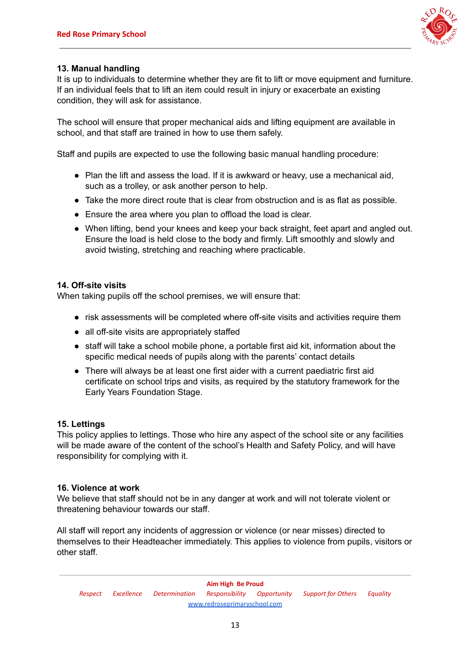

## **13. Manual handling**

It is up to individuals to determine whether they are fit to lift or move equipment and furniture. If an individual feels that to lift an item could result in injury or exacerbate an existing condition, they will ask for assistance.

The school will ensure that proper mechanical aids and lifting equipment are available in school, and that staff are trained in how to use them safely.

Staff and pupils are expected to use the following basic manual handling procedure:

- Plan the lift and assess the load. If it is awkward or heavy, use a mechanical aid, such as a trolley, or ask another person to help.
- Take the more direct route that is clear from obstruction and is as flat as possible.
- Ensure the area where you plan to offload the load is clear.
- When lifting, bend your knees and keep your back straight, feet apart and angled out. Ensure the load is held close to the body and firmly. Lift smoothly and slowly and avoid twisting, stretching and reaching where practicable.

#### **14. Off-site visits**

When taking pupils off the school premises, we will ensure that:

- risk assessments will be completed where off-site visits and activities require them
- all off-site visits are appropriately staffed
- staff will take a school mobile phone, a portable first aid kit, information about the specific medical needs of pupils along with the parents' contact details
- There will always be at least one first aider with a current paediatric first aid certificate on school trips and visits, as required by the statutory framework for the Early Years Foundation Stage.

#### **15. Lettings**

This policy applies to lettings. Those who hire any aspect of the school site or any facilities will be made aware of the content of the school's Health and Safety Policy, and will have responsibility for complying with it.

#### **16. Violence at work**

We believe that staff should not be in any danger at work and will not tolerate violent or threatening behaviour towards our staff.

All staff will report any incidents of aggression or violence (or near misses) directed to themselves to their Headteacher immediately. This applies to violence from pupils, visitors or other staff.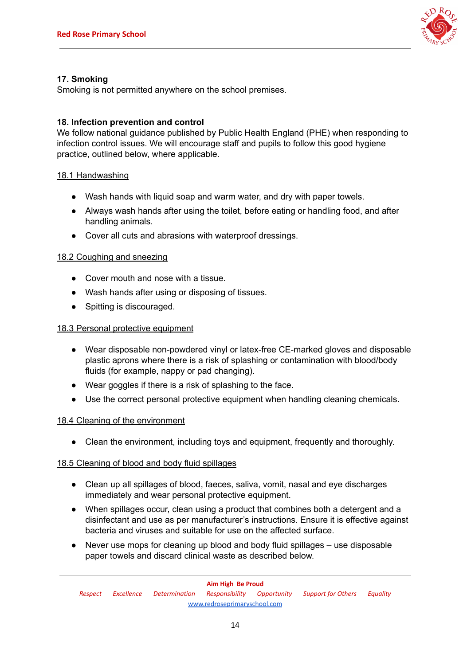

## **17. Smoking**

Smoking is not permitted anywhere on the school premises.

### **18. Infection prevention and control**

We follow national guidance published by Public Health England (PHE) when responding to infection control issues. We will encourage staff and pupils to follow this good hygiene practice, outlined below, where applicable.

#### 18.1 Handwashing

- Wash hands with liquid soap and warm water, and dry with paper towels.
- Always wash hands after using the toilet, before eating or handling food, and after handling animals.
- Cover all cuts and abrasions with waterproof dressings.

#### 18.2 Coughing and sneezing

- Cover mouth and nose with a tissue.
- Wash hands after using or disposing of tissues.
- Spitting is discouraged.

### 18.3 Personal protective equipment

- Wear disposable non-powdered vinyl or latex-free CE-marked gloves and disposable plastic aprons where there is a risk of splashing or contamination with blood/body fluids (for example, nappy or pad changing).
- Wear goggles if there is a risk of splashing to the face.
- Use the correct personal protective equipment when handling cleaning chemicals.

#### 18.4 Cleaning of the environment

● Clean the environment, including toys and equipment, frequently and thoroughly.

#### 18.5 Cleaning of blood and body fluid spillages

- Clean up all spillages of blood, faeces, saliva, vomit, nasal and eye discharges immediately and wear personal protective equipment.
- When spillages occur, clean using a product that combines both a detergent and a disinfectant and use as per manufacturer's instructions. Ensure it is effective against bacteria and viruses and suitable for use on the affected surface.
- Never use mops for cleaning up blood and body fluid spillages use disposable paper towels and discard clinical waste as described below.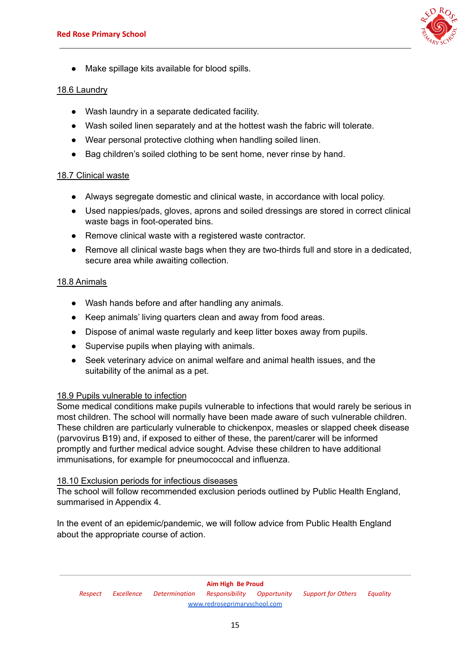

Make spillage kits available for blood spills.

#### 18.6 Laundry

- Wash laundry in a separate dedicated facility.
- Wash soiled linen separately and at the hottest wash the fabric will tolerate.
- Wear personal protective clothing when handling soiled linen.
- Bag children's soiled clothing to be sent home, never rinse by hand.

## 18.7 Clinical waste

- Always segregate domestic and clinical waste, in accordance with local policy.
- Used nappies/pads, gloves, aprons and soiled dressings are stored in correct clinical waste bags in foot-operated bins.
- Remove clinical waste with a registered waste contractor.
- Remove all clinical waste bags when they are two-thirds full and store in a dedicated, secure area while awaiting collection.

## 18.8 Animals

- Wash hands before and after handling any animals.
- Keep animals' living quarters clean and away from food areas.
- Dispose of animal waste regularly and keep litter boxes away from pupils.
- Supervise pupils when playing with animals.
- Seek veterinary advice on animal welfare and animal health issues, and the suitability of the animal as a pet.

#### 18.9 Pupils vulnerable to infection

Some medical conditions make pupils vulnerable to infections that would rarely be serious in most children. The school will normally have been made aware of such vulnerable children. These children are particularly vulnerable to chickenpox, measles or slapped cheek disease (parvovirus B19) and, if exposed to either of these, the parent/carer will be informed promptly and further medical advice sought. Advise these children to have additional immunisations, for example for pneumococcal and influenza.

#### 18.10 Exclusion periods for infectious diseases

The school will follow recommended exclusion periods outlined by Public Health England, summarised in Appendix 4.

In the event of an epidemic/pandemic, we will follow advice from Public Health England about the appropriate course of action.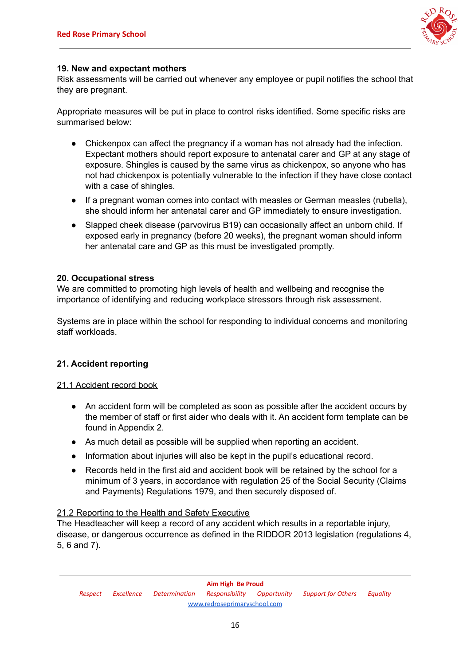

#### **19. New and expectant mothers**

Risk assessments will be carried out whenever any employee or pupil notifies the school that they are pregnant.

Appropriate measures will be put in place to control risks identified. Some specific risks are summarised below:

- Chickenpox can affect the pregnancy if a woman has not already had the infection. Expectant mothers should report exposure to antenatal carer and GP at any stage of exposure. Shingles is caused by the same virus as chickenpox, so anyone who has not had chickenpox is potentially vulnerable to the infection if they have close contact with a case of shingles.
- If a pregnant woman comes into contact with measles or German measles (rubella), she should inform her antenatal carer and GP immediately to ensure investigation.
- Slapped cheek disease (parvovirus B19) can occasionally affect an unborn child. If exposed early in pregnancy (before 20 weeks), the pregnant woman should inform her antenatal care and GP as this must be investigated promptly.

#### **20. Occupational stress**

We are committed to promoting high levels of health and wellbeing and recognise the importance of identifying and reducing workplace stressors through risk assessment.

Systems are in place within the school for responding to individual concerns and monitoring staff workloads.

#### **21. Accident reporting**

#### 21.1 Accident record book

- An accident form will be completed as soon as possible after the accident occurs by the member of staff or first aider who deals with it. An accident form template can be found in Appendix 2.
- As much detail as possible will be supplied when reporting an accident.
- Information about injuries will also be kept in the pupil's educational record.
- Records held in the first aid and accident book will be retained by the school for a minimum of 3 years, in accordance with regulation 25 of the Social Security (Claims and Payments) Regulations 1979, and then securely disposed of.

#### 21.2 Reporting to the Health and Safety Executive

The Headteacher will keep a record of any accident which results in a reportable injury, disease, or dangerous occurrence as defined in the RIDDOR 2013 legislation (regulations 4, 5, 6 and 7).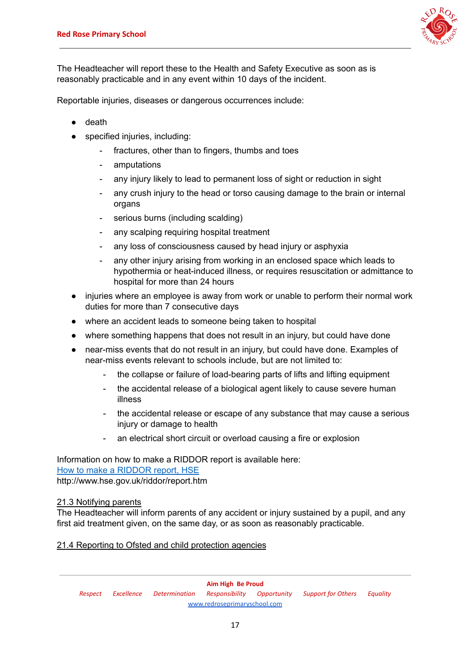

The Headteacher will report these to the Health and Safety Executive as soon as is reasonably practicable and in any event within 10 days of the incident.

Reportable injuries, diseases or dangerous occurrences include:

- death
- specified injuries, including:
	- fractures, other than to fingers, thumbs and toes
	- amputations
	- any injury likely to lead to permanent loss of sight or reduction in sight
	- any crush injury to the head or torso causing damage to the brain or internal organs
	- serious burns (including scalding)
	- any scalping requiring hospital treatment
	- any loss of consciousness caused by head injury or asphyxia
	- any other injury arising from working in an enclosed space which leads to hypothermia or heat-induced illness, or requires resuscitation or admittance to hospital for more than 24 hours
- injuries where an employee is away from work or unable to perform their normal work duties for more than 7 consecutive days
- where an accident leads to someone being taken to hospital
- where something happens that does not result in an injury, but could have done
- near-miss events that do not result in an injury, but could have done. Examples of near-miss events relevant to schools include, but are not limited to:
	- the collapse or failure of load-bearing parts of lifts and lifting equipment
	- the accidental release of a biological agent likely to cause severe human illness
	- the accidental release or escape of any substance that may cause a serious injury or damage to health
	- an electrical short circuit or overload causing a fire or explosion

Information on how to make a RIDDOR report is available here: How to make a [RIDDOR](http://www.hse.gov.uk/riddor/report.htm) report, HSE

http://www.hse.gov.uk/riddor/report.htm

#### 21.3 Notifying parents

The Headteacher will inform parents of any accident or injury sustained by a pupil, and any first aid treatment given, on the same day, or as soon as reasonably practicable.

#### 21.4 Reporting to Ofsted and child protection agencies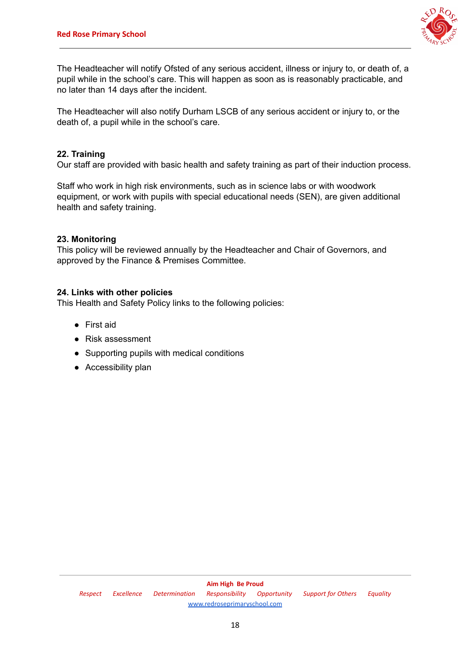

The Headteacher will notify Ofsted of any serious accident, illness or injury to, or death of, a pupil while in the school's care. This will happen as soon as is reasonably practicable, and no later than 14 days after the incident.

The Headteacher will also notify Durham LSCB of any serious accident or injury to, or the death of, a pupil while in the school's care.

#### **22. Training**

Our staff are provided with basic health and safety training as part of their induction process.

Staff who work in high risk environments, such as in science labs or with woodwork equipment, or work with pupils with special educational needs (SEN), are given additional health and safety training.

#### **23. Monitoring**

This policy will be reviewed annually by the Headteacher and Chair of Governors, and approved by the Finance & Premises Committee.

#### **24. Links with other policies**

This Health and Safety Policy links to the following policies:

- First aid
- Risk assessment
- Supporting pupils with medical conditions
- Accessibility plan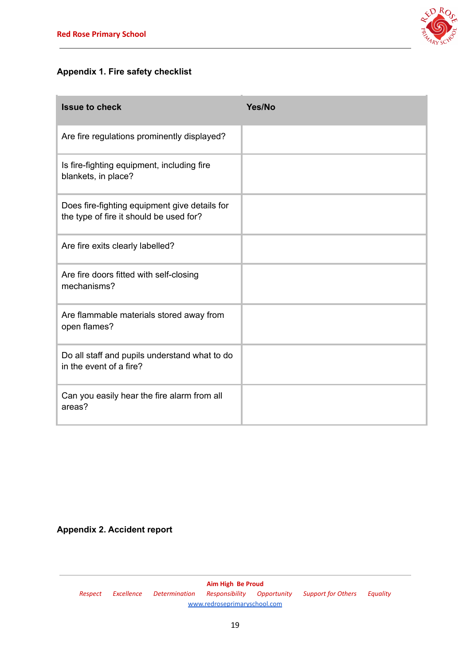

# **Appendix 1. Fire safety checklist**

| <b>Issue to check</b>                                                                    | Yes/No |
|------------------------------------------------------------------------------------------|--------|
| Are fire regulations prominently displayed?                                              |        |
| Is fire-fighting equipment, including fire<br>blankets, in place?                        |        |
| Does fire-fighting equipment give details for<br>the type of fire it should be used for? |        |
| Are fire exits clearly labelled?                                                         |        |
| Are fire doors fitted with self-closing<br>mechanisms?                                   |        |
| Are flammable materials stored away from<br>open flames?                                 |        |
| Do all staff and pupils understand what to do<br>in the event of a fire?                 |        |
| Can you easily hear the fire alarm from all<br>areas?                                    |        |

# **Appendix 2. Accident report**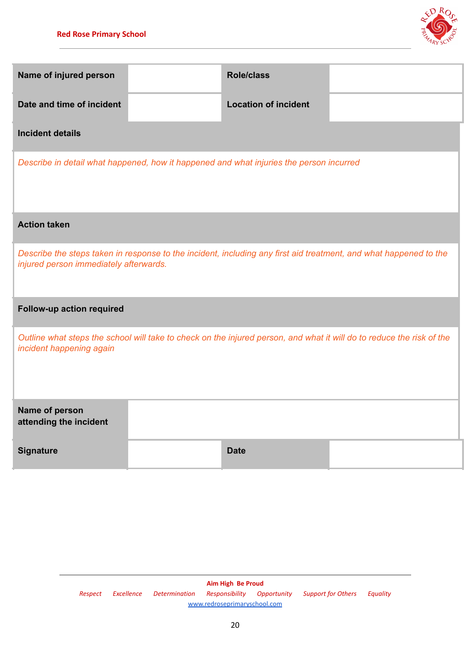

| Name of injured person                                                                                                                                      |  | <b>Role/class</b>           |  |  |
|-------------------------------------------------------------------------------------------------------------------------------------------------------------|--|-----------------------------|--|--|
| Date and time of incident                                                                                                                                   |  | <b>Location of incident</b> |  |  |
| <b>Incident details</b>                                                                                                                                     |  |                             |  |  |
| Describe in detail what happened, how it happened and what injuries the person incurred                                                                     |  |                             |  |  |
| <b>Action taken</b>                                                                                                                                         |  |                             |  |  |
| Describe the steps taken in response to the incident, including any first aid treatment, and what happened to the<br>injured person immediately afterwards. |  |                             |  |  |
| Follow-up action required                                                                                                                                   |  |                             |  |  |
| Outline what steps the school will take to check on the injured person, and what it will do to reduce the risk of the<br>incident happening again           |  |                             |  |  |
| Name of person<br>attending the incident                                                                                                                    |  |                             |  |  |
| <b>Signature</b>                                                                                                                                            |  | <b>Date</b>                 |  |  |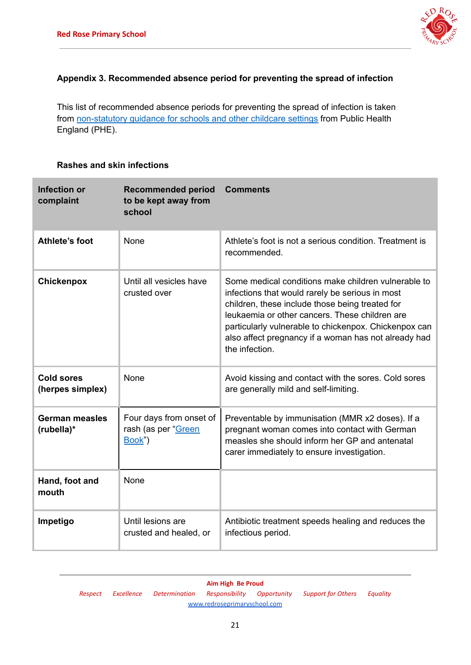

# **Appendix 3. Recommended absence period for preventing the spread of infection**

This list of recommended absence periods for preventing the spread of infection is taken from [non-statutory](https://www.gov.uk/government/uploads/system/uploads/attachment_data/file/522337/Guidance_on_infection_control_in_schools.pdf) guidance for schools and other childcare settings from Public Health England (PHE).

## **Rashes and skin infections**

| <b>Infection or</b><br>complaint      | <b>Recommended period</b><br>to be kept away from<br>school | <b>Comments</b>                                                                                                                                                                                                                                                                                                                                |
|---------------------------------------|-------------------------------------------------------------|------------------------------------------------------------------------------------------------------------------------------------------------------------------------------------------------------------------------------------------------------------------------------------------------------------------------------------------------|
| Athlete's foot                        | <b>None</b>                                                 | Athlete's foot is not a serious condition. Treatment is<br>recommended.                                                                                                                                                                                                                                                                        |
| <b>Chickenpox</b>                     | Until all vesicles have<br>crusted over                     | Some medical conditions make children vulnerable to<br>infections that would rarely be serious in most<br>children, these include those being treated for<br>leukaemia or other cancers. These children are<br>particularly vulnerable to chickenpox. Chickenpox can<br>also affect pregnancy if a woman has not already had<br>the infection. |
| <b>Cold sores</b><br>(herpes simplex) | None                                                        | Avoid kissing and contact with the sores. Cold sores<br>are generally mild and self-limiting.                                                                                                                                                                                                                                                  |
| German measles<br>(rubella)*          | Four days from onset of<br>rash (as per "Green<br>Book")    | Preventable by immunisation (MMR x2 doses). If a<br>pregnant woman comes into contact with German<br>measles she should inform her GP and antenatal<br>carer immediately to ensure investigation.                                                                                                                                              |
| Hand, foot and<br>mouth               | <b>None</b>                                                 |                                                                                                                                                                                                                                                                                                                                                |
| Impetigo                              | Until lesions are<br>crusted and healed, or                 | Antibiotic treatment speeds healing and reduces the<br>infectious period.                                                                                                                                                                                                                                                                      |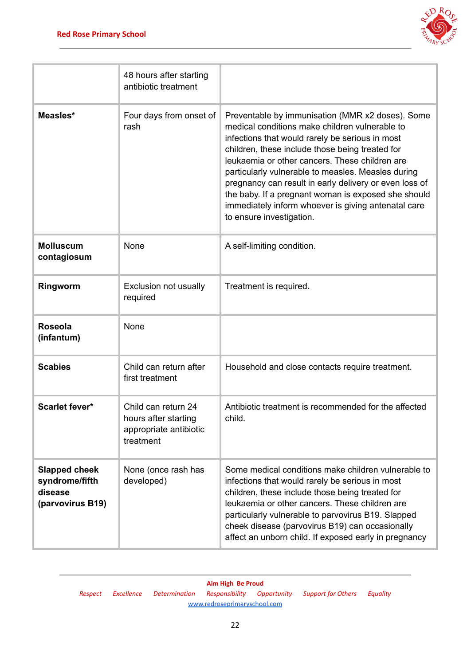

|                                                                       | 48 hours after starting<br>antibiotic treatment                                    |                                                                                                                                                                                                                                                                                                                                                                                                                                                                                                                      |
|-----------------------------------------------------------------------|------------------------------------------------------------------------------------|----------------------------------------------------------------------------------------------------------------------------------------------------------------------------------------------------------------------------------------------------------------------------------------------------------------------------------------------------------------------------------------------------------------------------------------------------------------------------------------------------------------------|
| Measles*                                                              | Four days from onset of<br>rash                                                    | Preventable by immunisation (MMR x2 doses). Some<br>medical conditions make children vulnerable to<br>infections that would rarely be serious in most<br>children, these include those being treated for<br>leukaemia or other cancers. These children are<br>particularly vulnerable to measles. Measles during<br>pregnancy can result in early delivery or even loss of<br>the baby. If a pregnant woman is exposed she should<br>immediately inform whoever is giving antenatal care<br>to ensure investigation. |
| <b>Molluscum</b><br>contagiosum                                       | None                                                                               | A self-limiting condition.                                                                                                                                                                                                                                                                                                                                                                                                                                                                                           |
| Ringworm                                                              | <b>Exclusion not usually</b><br>required                                           | Treatment is required.                                                                                                                                                                                                                                                                                                                                                                                                                                                                                               |
| <b>Roseola</b><br>(infantum)                                          | None                                                                               |                                                                                                                                                                                                                                                                                                                                                                                                                                                                                                                      |
| <b>Scabies</b>                                                        | Child can return after<br>first treatment                                          | Household and close contacts require treatment.                                                                                                                                                                                                                                                                                                                                                                                                                                                                      |
| <b>Scarlet fever*</b>                                                 | Child can return 24<br>hours after starting<br>appropriate antibiotic<br>treatment | Antibiotic treatment is recommended for the affected<br>child.                                                                                                                                                                                                                                                                                                                                                                                                                                                       |
| <b>Slapped cheek</b><br>syndrome/fifth<br>disease<br>(parvovirus B19) | None (once rash has<br>developed)                                                  | Some medical conditions make children vulnerable to<br>infections that would rarely be serious in most<br>children, these include those being treated for<br>leukaemia or other cancers. These children are<br>particularly vulnerable to parvovirus B19. Slapped<br>cheek disease (parvovirus B19) can occasionally<br>affect an unborn child. If exposed early in pregnancy                                                                                                                                        |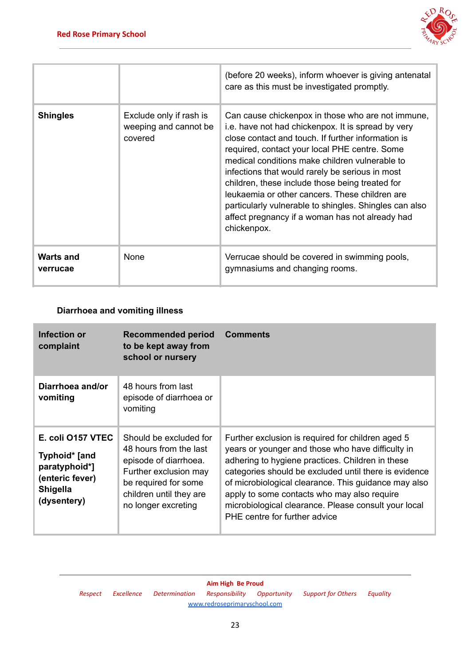

|                              |                                                             | (before 20 weeks), inform whoever is giving antenatal<br>care as this must be investigated promptly.                                                                                                                                                                                                                                                                                                                                                                                                                                                 |
|------------------------------|-------------------------------------------------------------|------------------------------------------------------------------------------------------------------------------------------------------------------------------------------------------------------------------------------------------------------------------------------------------------------------------------------------------------------------------------------------------------------------------------------------------------------------------------------------------------------------------------------------------------------|
| <b>Shingles</b>              | Exclude only if rash is<br>weeping and cannot be<br>covered | Can cause chickenpox in those who are not immune,<br>i.e. have not had chickenpox. It is spread by very<br>close contact and touch. If further information is<br>required, contact your local PHE centre. Some<br>medical conditions make children vulnerable to<br>infections that would rarely be serious in most<br>children, these include those being treated for<br>leukaemia or other cancers. These children are<br>particularly vulnerable to shingles. Shingles can also<br>affect pregnancy if a woman has not already had<br>chickenpox. |
| <b>Warts and</b><br>verrucae | <b>None</b>                                                 | Verrucae should be covered in swimming pools,<br>gymnasiums and changing rooms.                                                                                                                                                                                                                                                                                                                                                                                                                                                                      |

# **Diarrhoea and vomiting illness**

| <b>Infection or</b><br>complaint                                                                         | <b>Recommended period</b><br>to be kept away from<br>school or nursery                                                                                                       | <b>Comments</b>                                                                                                                                                                                                                                                                                                                                                                                                     |
|----------------------------------------------------------------------------------------------------------|------------------------------------------------------------------------------------------------------------------------------------------------------------------------------|---------------------------------------------------------------------------------------------------------------------------------------------------------------------------------------------------------------------------------------------------------------------------------------------------------------------------------------------------------------------------------------------------------------------|
| Diarrhoea and/or<br>vomiting                                                                             | 48 hours from last<br>episode of diarrhoea or<br>vomiting                                                                                                                    |                                                                                                                                                                                                                                                                                                                                                                                                                     |
| E. coli 0157 VTEC<br>Typhoid* [and<br>paratyphoid*]<br>(enteric fever)<br><b>Shigella</b><br>(dysentery) | Should be excluded for<br>48 hours from the last<br>episode of diarrhoea.<br>Further exclusion may<br>be required for some<br>children until they are<br>no longer excreting | Further exclusion is required for children aged 5<br>years or younger and those who have difficulty in<br>adhering to hygiene practices. Children in these<br>categories should be excluded until there is evidence<br>of microbiological clearance. This guidance may also<br>apply to some contacts who may also require<br>microbiological clearance. Please consult your local<br>PHE centre for further advice |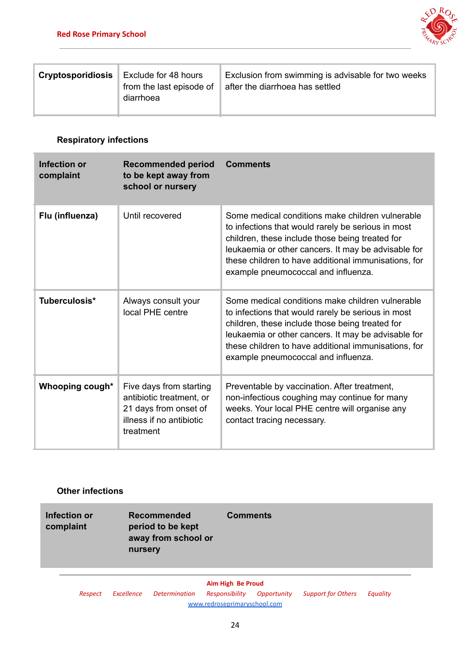

| Exclude for 48 hours<br><b>Cryptosporidiosis</b><br>from the last episode of<br>diarrhoea | Exclusion from swimming is advisable for two weeks<br>after the diarrhoea has settled |
|-------------------------------------------------------------------------------------------|---------------------------------------------------------------------------------------|
|-------------------------------------------------------------------------------------------|---------------------------------------------------------------------------------------|

# **Respiratory infections**

| Infection or<br>complaint | <b>Recommended period</b><br>to be kept away from<br>school or nursery                                                | <b>Comments</b>                                                                                                                                                                                                                                                                                                 |
|---------------------------|-----------------------------------------------------------------------------------------------------------------------|-----------------------------------------------------------------------------------------------------------------------------------------------------------------------------------------------------------------------------------------------------------------------------------------------------------------|
| Flu (influenza)           | Until recovered                                                                                                       | Some medical conditions make children vulnerable<br>to infections that would rarely be serious in most<br>children, these include those being treated for<br>leukaemia or other cancers. It may be advisable for<br>these children to have additional immunisations, for<br>example pneumococcal and influenza. |
| Tuberculosis*             | Always consult your<br>local PHE centre                                                                               | Some medical conditions make children vulnerable<br>to infections that would rarely be serious in most<br>children, these include those being treated for<br>leukaemia or other cancers. It may be advisable for<br>these children to have additional immunisations, for<br>example pneumococcal and influenza. |
| Whooping cough*           | Five days from starting<br>antibiotic treatment, or<br>21 days from onset of<br>illness if no antibiotic<br>treatment | Preventable by vaccination. After treatment,<br>non-infectious coughing may continue for many<br>weeks. Your local PHE centre will organise any<br>contact tracing necessary.                                                                                                                                   |

# **Other infections**

| <b>Infection or</b><br>complaint | nursery | <b>Recommended</b><br>period to be kept<br>away from school or | <b>Comments</b>   |                                                                                             |  |
|----------------------------------|---------|----------------------------------------------------------------|-------------------|---------------------------------------------------------------------------------------------|--|
|                                  |         |                                                                | Aim High Be Proud | Designat Fundlance Determination Designativities Opportunities Company Car Others Faccolise |  |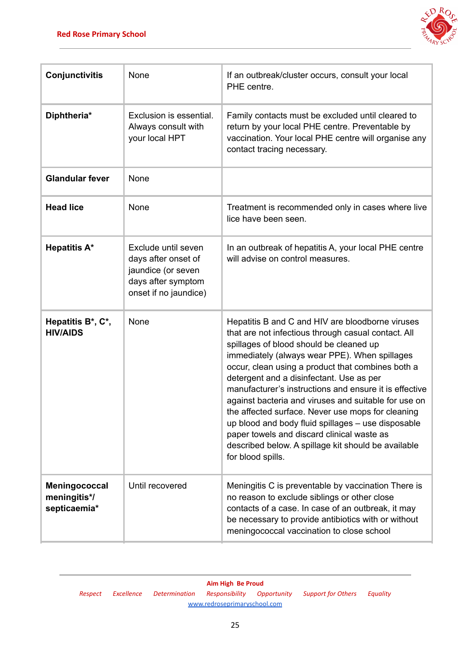

| Conjunctivitis                                | None                                                                                                            | If an outbreak/cluster occurs, consult your local<br>PHE centre.                                                                                                                                                                                                                                                                                                                                                                                                                                                                                                                                                                                            |
|-----------------------------------------------|-----------------------------------------------------------------------------------------------------------------|-------------------------------------------------------------------------------------------------------------------------------------------------------------------------------------------------------------------------------------------------------------------------------------------------------------------------------------------------------------------------------------------------------------------------------------------------------------------------------------------------------------------------------------------------------------------------------------------------------------------------------------------------------------|
| Diphtheria*                                   | Exclusion is essential.<br>Always consult with<br>your local HPT                                                | Family contacts must be excluded until cleared to<br>return by your local PHE centre. Preventable by<br>vaccination. Your local PHE centre will organise any<br>contact tracing necessary.                                                                                                                                                                                                                                                                                                                                                                                                                                                                  |
| <b>Glandular fever</b>                        | None                                                                                                            |                                                                                                                                                                                                                                                                                                                                                                                                                                                                                                                                                                                                                                                             |
| <b>Head lice</b>                              | None                                                                                                            | Treatment is recommended only in cases where live<br>lice have been seen.                                                                                                                                                                                                                                                                                                                                                                                                                                                                                                                                                                                   |
| <b>Hepatitis A*</b>                           | Exclude until seven<br>days after onset of<br>jaundice (or seven<br>days after symptom<br>onset if no jaundice) | In an outbreak of hepatitis A, your local PHE centre<br>will advise on control measures.                                                                                                                                                                                                                                                                                                                                                                                                                                                                                                                                                                    |
| Hepatitis B*, C*,<br><b>HIV/AIDS</b>          | None                                                                                                            | Hepatitis B and C and HIV are bloodborne viruses<br>that are not infectious through casual contact. All<br>spillages of blood should be cleaned up<br>immediately (always wear PPE). When spillages<br>occur, clean using a product that combines both a<br>detergent and a disinfectant. Use as per<br>manufacturer's instructions and ensure it is effective<br>against bacteria and viruses and suitable for use on<br>the affected surface. Never use mops for cleaning<br>up blood and body fluid spillages - use disposable<br>paper towels and discard clinical waste as<br>described below. A spillage kit should be available<br>for blood spills. |
| Meningococcal<br>meningitis*/<br>septicaemia* | Until recovered                                                                                                 | Meningitis C is preventable by vaccination There is<br>no reason to exclude siblings or other close<br>contacts of a case. In case of an outbreak, it may<br>be necessary to provide antibiotics with or without<br>meningococcal vaccination to close school                                                                                                                                                                                                                                                                                                                                                                                               |